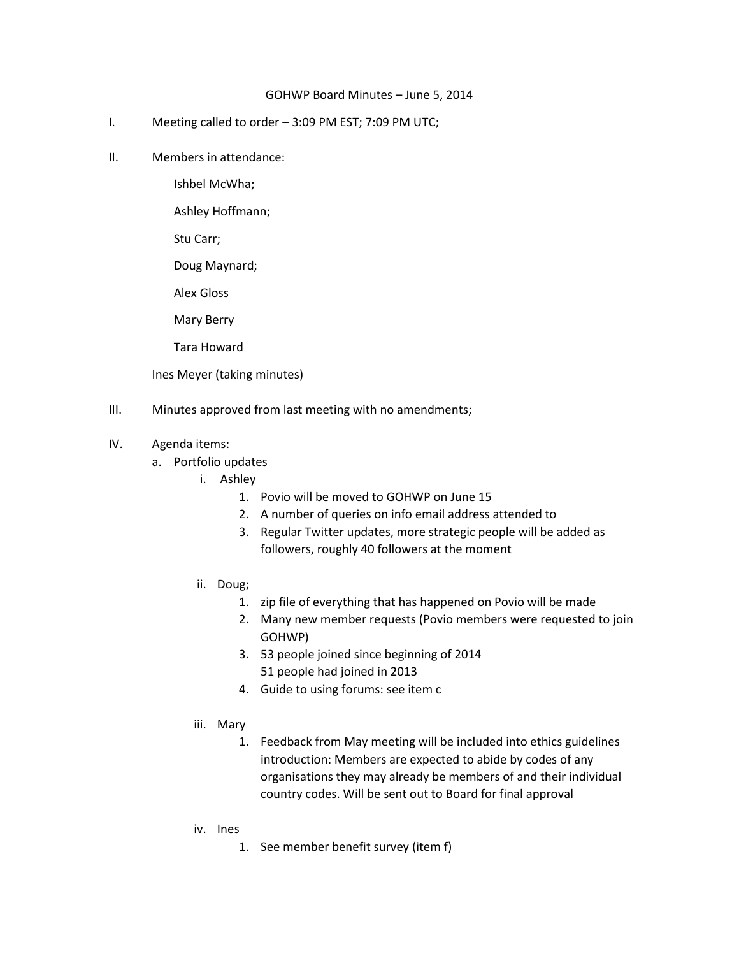## GOHWP Board Minutes – June 5, 2014

- I. Meeting called to order 3:09 PM EST; 7:09 PM UTC;
- II. Members in attendance:

Ishbel McWha;

Ashley Hoffmann;

Stu Carr;

Doug Maynard;

Alex Gloss

Mary Berry

Tara Howard

Ines Meyer (taking minutes)

- III. Minutes approved from last meeting with no amendments;
- IV. Agenda items:
	- a. Portfolio updates
		- i. Ashley
			- 1. Povio will be moved to GOHWP on June 15
			- 2. A number of queries on info email address attended to
			- 3. Regular Twitter updates, more strategic people will be added as followers, roughly 40 followers at the moment
		- ii. Doug;
			- 1. zip file of everything that has happened on Povio will be made
			- 2. Many new member requests (Povio members were requested to join GOHWP)
			- 3. 53 people joined since beginning of 2014 51 people had joined in 2013
			- 4. Guide to using forums: see item c
		- iii. Mary
			- 1. Feedback from May meeting will be included into ethics guidelines introduction: Members are expected to abide by codes of any organisations they may already be members of and their individual country codes. Will be sent out to Board for final approval
		- iv. Ines
			- 1. See member benefit survey (item f)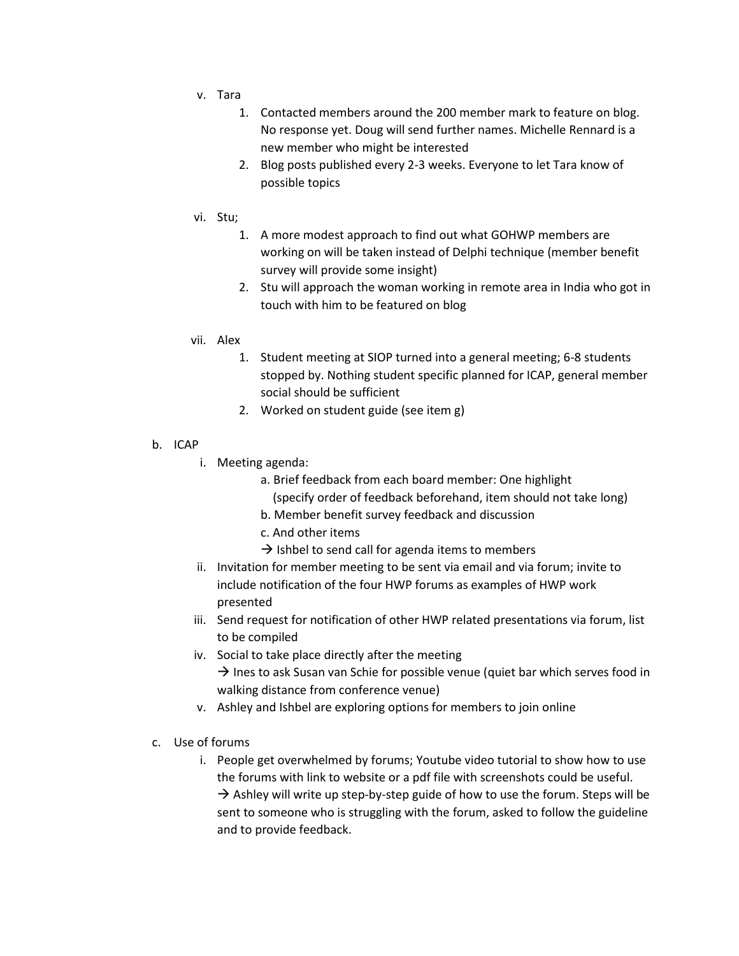- v. Tara
	- 1. Contacted members around the 200 member mark to feature on blog. No response yet. Doug will send further names. Michelle Rennard is a new member who might be interested
	- 2. Blog posts published every 2-3 weeks. Everyone to let Tara know of possible topics
- vi. Stu;
	- 1. A more modest approach to find out what GOHWP members are working on will be taken instead of Delphi technique (member benefit survey will provide some insight)
	- 2. Stu will approach the woman working in remote area in India who got in touch with him to be featured on blog
- vii. Alex
	- 1. Student meeting at SIOP turned into a general meeting; 6-8 students stopped by. Nothing student specific planned for ICAP, general member social should be sufficient
	- 2. Worked on student guide (see item g)
- b. ICAP
	- i. Meeting agenda:
		- a. Brief feedback from each board member: One highlight (specify order of feedback beforehand, item should not take long)
		- b. Member benefit survey feedback and discussion
		- c. And other items
		- $\rightarrow$  Ishbel to send call for agenda items to members
	- ii. Invitation for member meeting to be sent via email and via forum; invite to include notification of the four HWP forums as examples of HWP work presented
	- iii. Send request for notification of other HWP related presentations via forum, list to be compiled
	- iv. Social to take place directly after the meeting  $\rightarrow$  Ines to ask Susan van Schie for possible venue (quiet bar which serves food in walking distance from conference venue)
	- v. Ashley and Ishbel are exploring options for members to join online
- c. Use of forums
	- i. People get overwhelmed by forums; Youtube video tutorial to show how to use the forums with link to website or a pdf file with screenshots could be useful.  $\rightarrow$  Ashley will write up step-by-step guide of how to use the forum. Steps will be sent to someone who is struggling with the forum, asked to follow the guideline and to provide feedback.